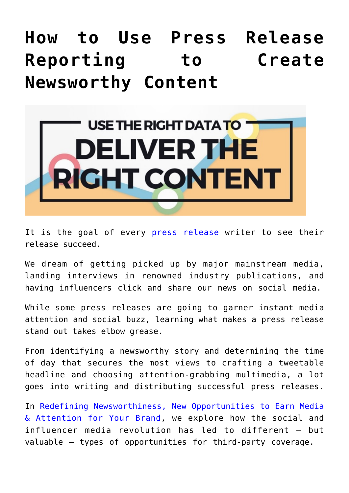## **[How to Use Press Release](https://www.commpro.biz/how-to-use-press-release-reporting-to-create-newsworthy-content/) [Reporting to Create](https://www.commpro.biz/how-to-use-press-release-reporting-to-create-newsworthy-content/) [Newsworthy Content](https://www.commpro.biz/how-to-use-press-release-reporting-to-create-newsworthy-content/)**



It is the goal of every [press release](https://www.commpro.biz/agile-engagement-channel/) writer to see their release succeed.

We dream of getting picked up by major mainstream media, landing interviews in renowned industry publications, and having influencers click and share our news on social media.

While some press releases are going to garner instant media attention and social buzz, learning what makes a press release stand out takes elbow grease.

From identifying a newsworthy story and determining the time of day that secures the most views to crafting a tweetable headline and choosing attention-grabbing multimedia, a lot goes into writing and distributing successful press releases.

In [Redefining Newsworthiness, New Opportunities to Earn Media](https://www.prnewswire.com/knowledge-center/Redefining-Newsworthiness-New-Opportunities-to-Earn-Media--Attention-for-Your-Brand.html?CO=E-CO-1.1.3&LS=Blog&LSP=20K&LSC=E-CO-1.1.3) [& Attention for Your Brand,](https://www.prnewswire.com/knowledge-center/Redefining-Newsworthiness-New-Opportunities-to-Earn-Media--Attention-for-Your-Brand.html?CO=E-CO-1.1.3&LS=Blog&LSP=20K&LSC=E-CO-1.1.3) we explore how the social and influencer media revolution has led to different – but valuable – types of opportunities for third-party coverage.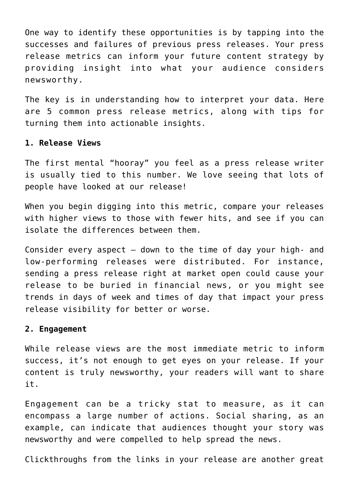One way to identify these opportunities is by tapping into the successes and failures of previous press releases. Your press release metrics can inform your future content strategy by providing insight into what your audience considers newsworthy.

The key is in understanding how to interpret your data. Here are 5 common press release metrics, along with tips for turning them into actionable insights.

## **1. Release Views**

The first mental "hooray" you feel as a press release writer is usually tied to this number. We love seeing that lots of people have looked at our release!

When you begin digging into this metric, compare your releases with higher views to those with fewer hits, and see if you can isolate the differences between them.

Consider every aspect  $-$  down to the time of day your high- and low-performing releases were distributed. For instance, sending a press release right at market open could cause your release to be buried in financial news, or you might see trends in days of week and times of day that impact your press release visibility for better or worse.

## **2. Engagement**

While release views are the most immediate metric to inform success, it's not enough to get eyes on your release. If your content is truly newsworthy, your readers will want to share it.

Engagement can be a tricky stat to measure, as it can encompass a large number of actions. Social sharing, as an example, can indicate that audiences thought your story was newsworthy and were compelled to help spread the news.

Clickthroughs from the links in your release are another great